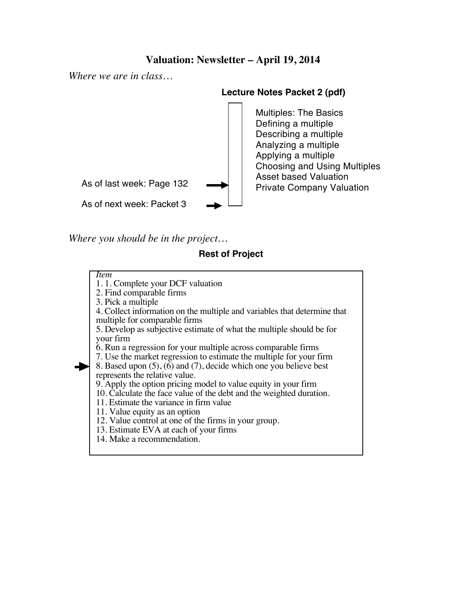# **Valuation: Newsletter – April 19, 2014**

*Where we are in class…*

### **Lecture Notes Packet 2 (pdf)**



*Where you should be in the project…*

## **Rest of Project**